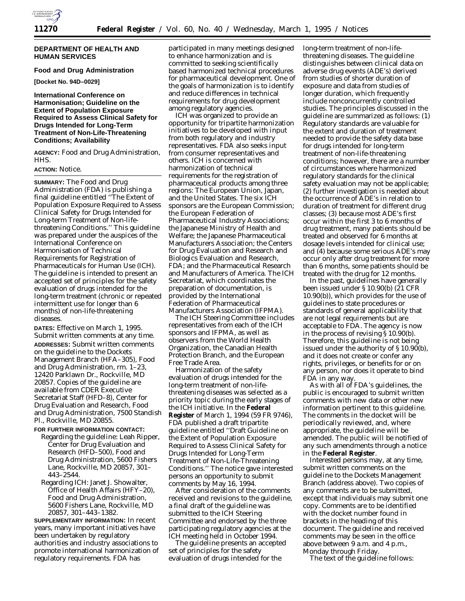

# **Food and Drug Administration**

**[Docket No. 94D–0029]**

# **International Conference on Harmonisation; Guideline on the Extent of Population Exposure Required to Assess Clinical Safety for Drugs Intended for Long-Term Treatment of Non-Life-Threatening Conditions; Availability**

**AGENCY:** Food and Drug Administration, HHS.

## **ACTION:** Notice.

**SUMMARY:** The Food and Drug Administration (FDA) is publishing a final guideline entitled ''The Extent of Population Exposure Required to Assess Clinical Safety for Drugs Intended for Long-term Treatment of Non-lifethreatening Conditions.'' This guideline was prepared under the auspices of the International Conference on Harmonisation of Technical Requirements for Registration of Pharmaceuticals for Human Use (ICH). The guideline is intended to present an accepted set of principles for the safety evaluation of drugs intended for the long-term treatment (chronic or repeated intermittent use for longer than 6 months) of non-life-threatening diseases.

**DATES:** Effective on March 1, 1995. Submit written comments at any time.

**ADDRESSES:** Submit written comments on the guideline to the Dockets Management Branch (HFA–305), Food and Drug Administration, rm. 1–23, 12420 Parklawn Dr., Rockville, MD 20857. Copies of the guideline are available from CDER Executive Secretariat Staff (HFD–8), Center for Drug Evaluation and Research, Food and Drug Administration, 7500 Standish Pl., Rockville, MD 20855.

## **FOR FURTHER INFORMATION CONTACT:**

- Regarding the guideline: Leah Ripper, Center for Drug Evaluation and Research (HFD–500), Food and Drug Administration, 5600 Fishers Lane, Rockville, MD 20857, 301– 443–2544.
- Regarding ICH: Janet J. Showalter, Office of Health Affairs (HFY–20), Food and Drug Administration, 5600 Fishers Lane, Rockville, MD 20857, 301–443–1382.

**SUPPLEMENTARY INFORMATION:** In recent years, many important initiatives have been undertaken by regulatory authorities and industry associations to promote international harmonization of regulatory requirements. FDA has

participated in many meetings designed to enhance harmonization and is committed to seeking scientifically based harmonized technical procedures for pharmaceutical development. One of the goals of harmonization is to identify and reduce differences in technical requirements for drug development among regulatory agencies.

ICH was organized to provide an opportunity for tripartite harmonization initiatives to be developed with input from both regulatory and industry representatives. FDA also seeks input from consumer representatives and others. ICH is concerned with harmonization of technical requirements for the registration of pharmaceutical products among three regions: The European Union, Japan, and the United States. The six ICH sponsors are the European Commission; the European Federation of Pharmaceutical Industry Associations; the Japanese Ministry of Health and Welfare; the Japanese Pharmaceutical Manufacturers Association; the Centers for Drug Evaluation and Research and Biologics Evaluation and Research, FDA; and the Pharmaceutical Research and Manufacturers of America. The ICH Secretariat, which coordinates the preparation of documentation, is provided by the International Federation of Pharmaceutical Manufacturers Association (IFPMA).

The ICH Steering Committee includes representatives from each of the ICH sponsors and IFPMA, as well as observers from the World Health Organization, the Canadian Health Protection Branch, and the European Free Trade Area.

Harmonization of the safety evaluation of drugs intended for the long-term treatment of non-lifethreatening diseases was selected as a priority topic during the early stages of the ICH initiative. In the **Federal Register** of March 1, 1994 (59 FR 9746), FDA published a draft tripartite guideline entitled ''Draft Guideline on the Extent of Population Exposure Required to Assess Clinical Safety for Drugs Intended for Long-Term Treatment of Non-Life-Threatening Conditions.'' The notice gave interested persons an opportunity to submit comments by May 16, 1994.

After consideration of the comments received and revisions to the guideline, a final draft of the guideline was submitted to the ICH Steering Committee and endorsed by the three participating regulatory agencies at the ICH meeting held in October 1994.

The guideline presents an accepted set of principles for the safety evaluation of drugs intended for the

long-term treatment of non-lifethreatening diseases. The guideline distinguishes between clinical data on adverse drug events (ADE's) derived from studies of shorter duration of exposure and data from studies of longer duration, which frequently include nonconcurrently controlled studies. The principles discussed in the guideline are summarized as follows: (1) Regulatory standards are valuable for the extent and duration of treatment needed to provide the safety data base for drugs intended for long-term treatment of non-life-threatening conditions; however, there are a number of circumstances where harmonized regulatory standards for the clinical safety evaluation may not be applicable; (2) further investigation is needed about the occurrence of ADE's in relation to duration of treatment for different drug classes; (3) because most ADE's first occur within the first 3 to 6 months of drug treatment, many patients should be treated and observed for 6 months at dosage levels intended for clinical use; and (4) because some serious ADE's may occur only after drug treatment for more than 6 months, some patients should be treated with the drug for 12 months.

In the past, guidelines have generally been issued under § 10.90(b) (21 CFR 10.90(b)), which provides for the use of guidelines to state procedures or standards of general applicability that are not legal requirements but are acceptable to FDA. The agency is now in the process of revising § 10.90(b). Therefore, this guideline is not being issued under the authority of § 10.90(b), and it does not create or confer any rights, privileges, or benefits for or on any person, nor does it operate to bind FDA in any way.

As with all of FDA's guidelines, the public is encouraged to submit written comments with new data or other new information pertinent to this guideline. The comments in the docket will be periodically reviewed, and, where appropriate, the guideline will be amended. The public will be notified of any such amendments through a notice in the **Federal Register**.

Interested persons may, at any time, submit written comments on the guideline to the Dockets Management Branch (address above). Two copies of any comments are to be submitted, except that individuals may submit one copy. Comments are to be identified with the docket number found in brackets in the heading of this document. The guideline and received comments may be seen in the office above between 9 a.m. and 4 p.m., Monday through Friday.

The text of the guideline follows: